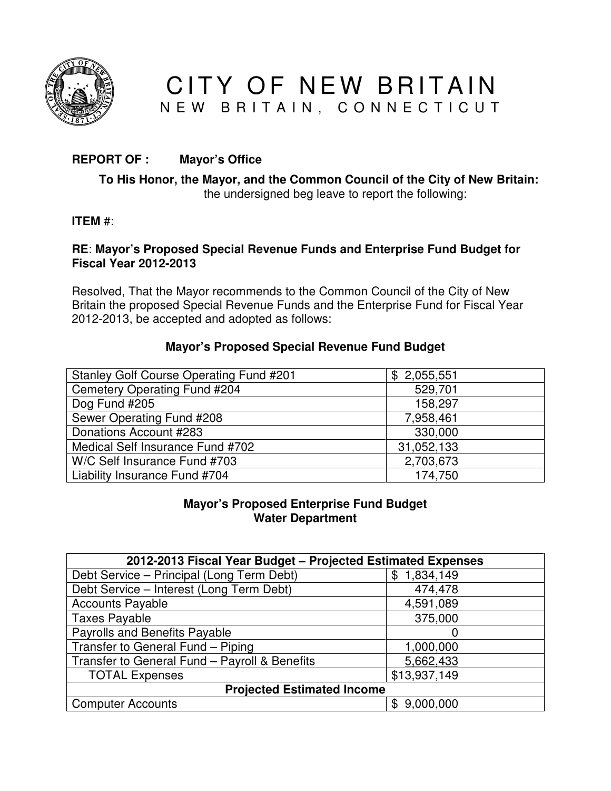

CITY OF NEW BRITAIN N E W B R I T A I N, C O N N E C T I C U T

# **REPORT OF : Mayor's Office**

### **To His Honor, the Mayor, and the Common Council of the City of New Britain:**  the undersigned beg leave to report the following:

# **ITEM** #:

### **RE**: **Mayor's Proposed Special Revenue Funds and Enterprise Fund Budget for Fiscal Year 2012-2013**

Resolved, That the Mayor recommends to the Common Council of the City of New Britain the proposed Special Revenue Funds and the Enterprise Fund for Fiscal Year 2012-2013, be accepted and adopted as follows:

#### **Mayor's Proposed Special Revenue Fund Budget**

| <b>Stanley Golf Course Operating Fund #201</b> | \$2,055,551 |
|------------------------------------------------|-------------|
| Cemetery Operating Fund #204                   | 529,701     |
| Dog Fund #205                                  | 158,297     |
| Sewer Operating Fund #208                      | 7,958,461   |
| Donations Account #283                         | 330,000     |
| Medical Self Insurance Fund #702               | 31,052,133  |
| W/C Self Insurance Fund #703                   | 2,703,673   |
| Liability Insurance Fund #704                  | 174,750     |

#### **Mayor's Proposed Enterprise Fund Budget Water Department**

| 2012-2013 Fiscal Year Budget - Projected Estimated Expenses |                 |  |  |
|-------------------------------------------------------------|-----------------|--|--|
| Debt Service - Principal (Long Term Debt)                   | 1,834,149<br>\$ |  |  |
| Debt Service - Interest (Long Term Debt)                    | 474,478         |  |  |
| <b>Accounts Payable</b>                                     | 4,591,089       |  |  |
| <b>Taxes Payable</b>                                        | 375,000         |  |  |
| <b>Payrolls and Benefits Payable</b>                        |                 |  |  |
| Transfer to General Fund - Piping                           | 1,000,000       |  |  |
| Transfer to General Fund - Payroll & Benefits               | 5,662,433       |  |  |
| <b>TOTAL Expenses</b>                                       | \$13,937,149    |  |  |
| <b>Projected Estimated Income</b>                           |                 |  |  |
| <b>Computer Accounts</b>                                    | 9,000,000<br>\$ |  |  |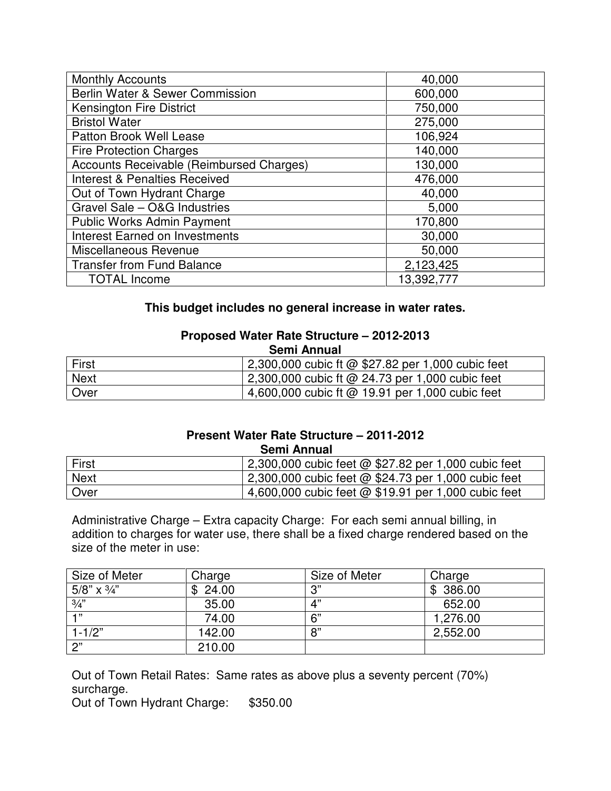| <b>Monthly Accounts</b>                  | 40,000     |
|------------------------------------------|------------|
| Berlin Water & Sewer Commission          | 600,000    |
| <b>Kensington Fire District</b>          | 750,000    |
| <b>Bristol Water</b>                     | 275,000    |
| Patton Brook Well Lease                  | 106,924    |
| <b>Fire Protection Charges</b>           | 140,000    |
| Accounts Receivable (Reimbursed Charges) | 130,000    |
| <b>Interest &amp; Penalties Received</b> | 476,000    |
| Out of Town Hydrant Charge               | 40,000     |
| Gravel Sale - O&G Industries             | 5,000      |
| <b>Public Works Admin Payment</b>        | 170,800    |
| <b>Interest Earned on Investments</b>    | 30,000     |
| Miscellaneous Revenue                    | 50,000     |
| <b>Transfer from Fund Balance</b>        | 2,123,425  |
| <b>TOTAL Income</b>                      | 13,392,777 |

# **This budget includes no general increase in water rates.**

#### **Proposed Water Rate Structure – 2012-2013 Semi Annual**

| <sup>I</sup> First | 2,300,000 cubic ft @ \$27.82 per 1,000 cubic feet |
|--------------------|---------------------------------------------------|
| <b>Next</b>        | 2,300,000 cubic ft @ 24.73 per 1,000 cubic feet   |
| Over               | 4,600,000 cubic ft $@$ 19.91 per 1,000 cubic feet |

### **Present Water Rate Structure – 2011-2012 Semi Annual**

| First       | 2,300,000 cubic feet @ \$27.82 per 1,000 cubic feet         |
|-------------|-------------------------------------------------------------|
| <b>Next</b> | $\vert$ 2,300,000 cubic feet @ \$24.73 per 1,000 cubic feet |
| ∣ Over      | 4,600,000 cubic feet @ \$19.91 per 1,000 cubic feet         |

Administrative Charge – Extra capacity Charge: For each semi annual billing, in addition to charges for water use, there shall be a fixed charge rendered based on the size of the meter in use:

| Size of Meter      | Charge  | Size of Meter | Charge   |
|--------------------|---------|---------------|----------|
| 5/8" $\times$ 3/4" | \$24.00 | יי כי         | \$386.00 |
| $\frac{3}{4}$ "    | 35.00   | 4"            | 652.00   |
| $-1.32$            | 74.00   | 6"            | 1,276.00 |
| $1 - 1/2"$         | 142.00  | 8"            | 2,552.00 |
| 2"                 | 210.00  |               |          |

Out of Town Retail Rates: Same rates as above plus a seventy percent (70%) surcharge.

Out of Town Hydrant Charge: \$350.00